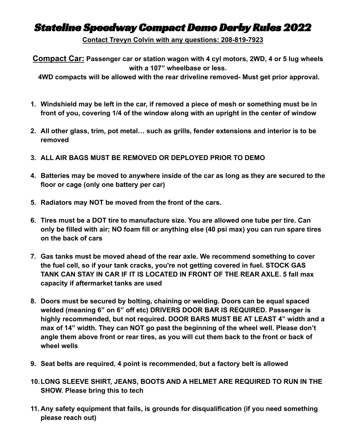## Stateline Speedway Compact Demo Derby Rules 2022

**Contact Trevyn Colvin with any questions: 208-819-7923**

**Compact Car: Passenger car or station wagon with 4 cyl motors, 2WD, 4 or 5 lug wheels with a 107" wheelbase or less.**

**4WD compacts will be allowed with the rear driveline removed- Must get prior approval.**

- **1. Windshield may be left in the car, if removed a piece of mesh or something must be in front of you, covering 1/4 of the window along with an upright in the center of window**
- **2. All other glass, trim, pot metal… such as grills, fender extensions and interior is to be removed**
- **3. ALL AIR BAGS MUST BE REMOVED OR DEPLOYED PRIOR TO DEMO**
- **4. Batteries may be moved to anywhere inside of the car as long as they are secured to the floor or cage (only one battery per car)**
- **5. Radiators may NOT be moved from the front of the cars.**
- **6. Tires must be a DOT tire to manufacture size. You are allowed one tube per tire. Can only be filled with air; NO foam fill or anything else (40 psi max) you can run spare tires on the back of cars**
- **7. Gas tanks must be moved ahead of the rear axle. We recommend something to cover the fuel cell, so if your tank cracks, you're not getting covered in fuel. STOCK GAS TANK CAN STAY IN CAR IF IT IS LOCATED IN FRONT OF THE REAR AXLE. 5 fall max capacity if aftermarket tanks are used**
- **8. Doors must be secured by bolting, chaining or welding. Doors can be equal spaced welded (meaning 6" on 6" off etc) DRIVERS DOOR BAR IS REQUIRED. Passenger is highly recommended, but not required. DOOR BARS MUST BE AT LEAST 4" width and a max of 14" width. They can NOT go past the beginning of the wheel well. Please don't angle them above front or rear tires, as you will cut them back to the front or back of wheel wells**
- **9. Seat belts are required, 4 point is recommended, but a factory belt is allowed**
- **10.LONG SLEEVE SHIRT, JEANS, BOOTS AND A HELMET ARE REQUIRED TO RUN IN THE SHOW. Please bring this to tech**
- **11. Any safety equipment that fails, is grounds for disqualification (if you need something please reach out)**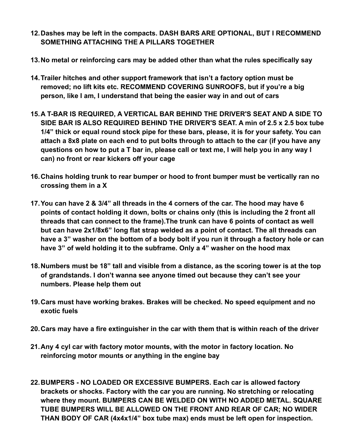- **12.Dashes may be left in the compacts. DASH BARS ARE OPTIONAL, BUT I RECOMMEND SOMETHING ATTACHING THE A PILLARS TOGETHER**
- **13.No metal or reinforcing cars may be added other than what the rules specifically say**
- **14.Trailer hitches and other support framework that isn't a factory option must be removed; no lift kits etc. RECOMMEND COVERING SUNROOFS, but if you're a big person, like I am, I understand that being the easier way in and out of cars**
- **15.A T-BAR IS REQUIRED, A VERTICAL BAR BEHIND THE DRIVER'S SEAT AND A SIDE TO SIDE BAR IS ALSO REQUIRED BEHIND THE DRIVER'S SEAT. A min of 2.5 x 2.5 box tube 1/4" thick or equal round stock pipe for these bars, please, it is for your safety. You can attach a 8x8 plate on each end to put bolts through to attach to the car (if you have any questions on how to put a T bar in, please call or text me, I will help you in any way I can) no front or rear kickers off your cage**
- **16.Chains holding trunk to rear bumper or hood to front bumper must be vertically ran no crossing them in a X**
- **17.You can have 2 & 3/4" all threads in the 4 corners of the car. The hood may have 6 points of contact holding it down, bolts or chains only (this is including the 2 front all threads that can connect to the frame).The trunk can have 6 points of contact as well but can have 2x1/8x6" long flat strap welded as a point of contact. The all threads can have a 3" washer on the bottom of a body bolt if you run it through a factory hole or can have 3" of weld holding it to the subframe. Only a 4" washer on the hood max**
- **18.Numbers must be 18" tall and visible from a distance, as the scoring tower is at the top of grandstands. I don't wanna see anyone timed out because they can't see your numbers. Please help them out**
- **19.Cars must have working brakes. Brakes will be checked. No speed equipment and no exotic fuels**
- **20.Cars may have a fire extinguisher in the car with them that is within reach of the driver**
- **21.Any 4 cyl car with factory motor mounts, with the motor in factory location. No reinforcing motor mounts or anything in the engine bay**
- **22.BUMPERS NO LOADED OR EXCESSIVE BUMPERS. Each car is allowed factory brackets or shocks. Factory with the car you are running. No stretching or relocating where they mount. BUMPERS CAN BE WELDED ON WITH NO ADDED METAL. SQUARE TUBE BUMPERS WILL BE ALLOWED ON THE FRONT AND REAR OF CAR; NO WIDER THAN BODY OF CAR (4x4x1/4" box tube max) ends must be left open for inspection.**